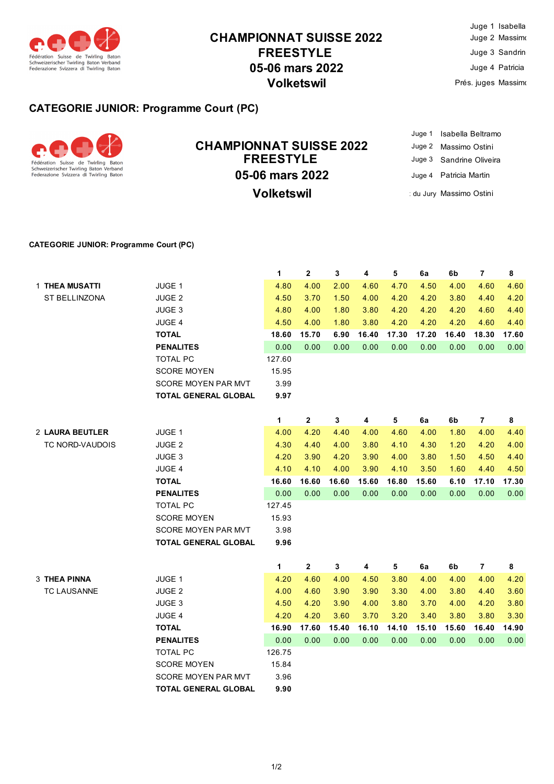

# **CHAMPIONNAT SUISSE 2022 FREESTYLE 05-06 mars 2022 Volketswil**

|                     | Juge 1 Isabella |
|---------------------|-----------------|
|                     | Juge 2 Massimo  |
|                     | Juge 3 Sandrin  |
| Juge 4 Patricia     |                 |
| Prés. juges Massimo |                 |

### **CATEGORIE JUNIOR: Programme Court (PC)**



## **05-06 mars 2022 CHAMPIONNAT SUISSE 2022 FREESTYLE Volketswil**

Juge 1 Isabella Beltramo Juge 2 Massimo Ostini Juge 3 Sandrine Oliveira Juge 4 Patricia Martin : du Jury Massimo Ostini

#### **CATEGORIE JUNIOR: Programme Court (PC)**

|                     |                             | 1      | $\mathbf{2}$ | 3     | 4     | 5     | 6a    | 6b    | $\overline{7}$ | 8       |
|---------------------|-----------------------------|--------|--------------|-------|-------|-------|-------|-------|----------------|---------|
| 1 THEA MUSATTI      | JUGE 1                      | 4.80   | 4.00         | 2.00  | 4.60  | 4.70  | 4.50  | 4.00  | 4.60           | 4.60    |
| ST BELLINZONA       | JUGE 2                      | 4.50   | 3.70         | 1.50  | 4.00  | 4.20  | 4.20  | 3.80  | 4.40           | 4.20    |
|                     | JUGE 3                      | 4.80   | 4.00         | 1.80  | 3.80  | 4.20  | 4.20  | 4.20  | 4.60           | 4.40    |
|                     | JUGE 4                      | 4.50   | 4.00         | 1.80  | 3.80  | 4.20  | 4.20  | 4.20  | 4.60           | 4.40    |
|                     | <b>TOTAL</b>                | 18.60  | 15.70        | 6.90  | 16.40 | 17.30 | 17.20 | 16.40 | 18.30          | 17.60   |
|                     | <b>PENALITES</b>            | 0.00   | 0.00         | 0.00  | 0.00  | 0.00  | 0.00  | 0.00  | 0.00           | 0.00    |
|                     | <b>TOTAL PC</b>             | 127.60 |              |       |       |       |       |       |                |         |
|                     | <b>SCORE MOYEN</b>          | 15.95  |              |       |       |       |       |       |                |         |
|                     | <b>SCORE MOYEN PAR MVT</b>  | 3.99   |              |       |       |       |       |       |                |         |
|                     | <b>TOTAL GENERAL GLOBAL</b> | 9.97   |              |       |       |       |       |       |                |         |
|                     |                             | 1      | $\mathbf{2}$ | 3     | 4     | 5     | 6a    | 6b    | 7              | 8       |
| 2 LAURA BEUTLER     | JUGE 1                      | 4.00   | 4.20         | 4.40  | 4.00  | 4.60  | 4.00  | 1.80  | 4.00           | 4.40    |
| TC NORD-VAUDOIS     | JUGE <sub>2</sub>           | 4.30   | 4.40         | 4.00  | 3.80  | 4.10  | 4.30  | 1.20  | 4.20           | 4.00    |
|                     | JUGE 3                      | 4.20   | 3.90         | 4.20  | 3.90  | 4.00  | 3.80  | 1.50  | 4.50           | 4.40    |
|                     | JUGE 4                      | 4.10   | 4.10         | 4.00  | 3.90  | 4.10  | 3.50  | 1.60  | 4.40           | 4.50    |
|                     | <b>TOTAL</b>                | 16.60  | 16.60        | 16.60 | 15.60 | 16.80 | 15.60 | 6.10  | 17.10          | 17.30   |
|                     | <b>PENALITES</b>            | 0.00   | 0.00         | 0.00  | 0.00  | 0.00  | 0.00  | 0.00  | 0.00           | 0.00    |
|                     | <b>TOTAL PC</b>             | 127.45 |              |       |       |       |       |       |                |         |
|                     | <b>SCORE MOYEN</b>          | 15.93  |              |       |       |       |       |       |                |         |
|                     | <b>SCORE MOYEN PAR MVT</b>  | 3.98   |              |       |       |       |       |       |                |         |
|                     | <b>TOTAL GENERAL GLOBAL</b> | 9.96   |              |       |       |       |       |       |                |         |
|                     |                             | 1      | $\mathbf{2}$ | 3     | 4     | 5     | 6a    | 6b    | $\overline{7}$ | $\bf 8$ |
| <b>3 THEA PINNA</b> | JUGE 1                      | 4.20   | 4.60         | 4.00  | 4.50  | 3.80  | 4.00  | 4.00  | 4.00           | 4.20    |
| <b>TC LAUSANNE</b>  | JUGE 2                      | 4.00   | 4.60         | 3.90  | 3.90  | 3.30  | 4.00  | 3.80  | 4.40           | 3.60    |
|                     | JUGE 3                      | 4.50   | 4.20         | 3.90  | 4.00  | 3.80  | 3.70  | 4.00  | 4.20           | 3.80    |
|                     | JUGE 4                      | 4.20   | 4.20         | 3.60  | 3.70  | 3.20  | 3.40  | 3.80  | 3.80           | 3.30    |
|                     | <b>TOTAL</b>                | 16.90  | 17.60        | 15.40 | 16.10 | 14.10 | 15.10 | 15.60 | 16.40          | 14.90   |
|                     | <b>PENALITES</b>            | 0.00   | 0.00         | 0.00  | 0.00  | 0.00  | 0.00  | 0.00  | 0.00           | 0.00    |
|                     | <b>TOTAL PC</b>             | 126.75 |              |       |       |       |       |       |                |         |
|                     | <b>SCORE MOYEN</b>          | 15.84  |              |       |       |       |       |       |                |         |
|                     | <b>SCORE MOYEN PAR MVT</b>  | 3.96   |              |       |       |       |       |       |                |         |
|                     | <b>TOTAL GENERAL GLOBAL</b> | 9.90   |              |       |       |       |       |       |                |         |